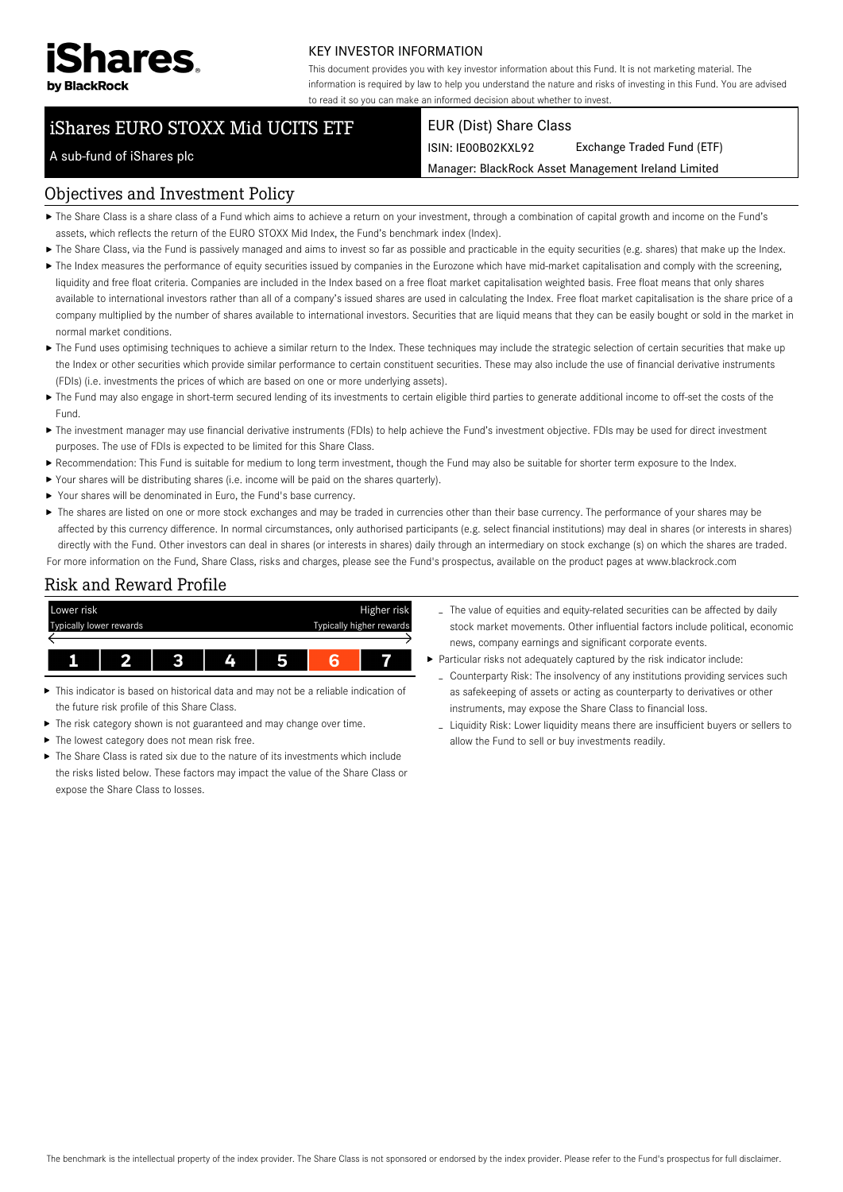

#### KEY INVESTOR INFORMATION

This document provides you with key investor information about this Fund. It is not marketing material. The information is required by law to help you understand the nature and risks of investing in this Fund. You are advised to read it so you can make an informed decision about whether to invest.

# iShares EURO STOXX Mid UCITS ETF

#### EUR (Dist) Share Class

ISIN: IE00B02KXL92 Exchange Traded Fund (ETF)

Manager: BlackRock Asset Management Ireland Limited

#### A sub-fund of iShares plc

#### Objectives and Investment Policy

- The Share Class is a share class of a Fund which aims to achieve a return on your investment, through a combination of capital growth and income on the Fund's assets, which reflects the return of the EURO STOXX Mid Index, the Fund's benchmark index (Index).
- ▶ The Share Class, via the Fund is passively managed and aims to invest so far as possible and practicable in the equity securities (e.g. shares) that make up the Index.
- ▶ The Index measures the performance of equity securities issued by companies in the Eurozone which have mid-market capitalisation and comply with the screening, liquidity and free float criteria. Companies are included in the Index based on a free float market capitalisation weighted basis. Free float means that only shares available to international investors rather than all of a company's issued shares are used in calculating the Index. Free float market capitalisation is the share price of a company multiplied by the number of shares available to international investors. Securities that are liquid means that they can be easily bought or sold in the market in normal market conditions.
- ▶ The Fund uses optimising techniques to achieve a similar return to the Index. These techniques may include the strategic selection of certain securities that make up the Index or other securities which provide similar performance to certain constituent securities. These may also include the use of financial derivative instruments (FDIs) (i.e. investments the prices of which are based on one or more underlying assets).
- ▶ The Fund may also engage in short-term secured lending of its investments to certain eligible third parties to generate additional income to off-set the costs of the Fund.
- ▶ The investment manager may use financial derivative instruments (FDIs) to help achieve the Fund's investment objective. FDIs may be used for direct investment purposes. The use of FDIs is expected to be limited for this Share Class.
- Recommendation: This Fund is suitable for medium to long term investment, though the Fund may also be suitable for shorter term exposure to the Index.
- Your shares will be distributing shares (i.e. income will be paid on the shares quarterly).
- Your shares will be denominated in Euro, the Fund's base currency.
- ▶ The shares are listed on one or more stock exchanges and may be traded in currencies other than their base currency. The performance of your shares may be affected by this currency difference. In normal circumstances, only authorised participants (e.g. select financial institutions) may deal in shares (or interests in shares) directly with the Fund. Other investors can deal in shares (or interests in shares) daily through an intermediary on stock exchange (s) on which the shares are traded. For more information on the Fund, Share Class, risks and charges, please see the Fund's prospectus, available on the product pages at www.blackrock.com

Risk and Reward Profile



- This indicator is based on historical data and may not be a reliable indication of Ы the future risk profile of this Share Class.
- The risk category shown is not guaranteed and may change over time.
- The lowest category does not mean risk free. ь
- $\triangleright$  The Share Class is rated six due to the nature of its investments which include the risks listed below. These factors may impact the value of the Share Class or expose the Share Class to losses.
- The value of equities and equity-related securities can be affected by daily stock market movements. Other influential factors include political, economic news, company earnings and significant corporate events.
- Particular risks not adequately captured by the risk indicator include:
	- Counterparty Risk: The insolvency of any institutions providing services such as safekeeping of assets or acting as counterparty to derivatives or other instruments, may expose the Share Class to financial loss.
	- Liquidity Risk: Lower liquidity means there are insufficient buyers or sellers to allow the Fund to sell or buy investments readily.